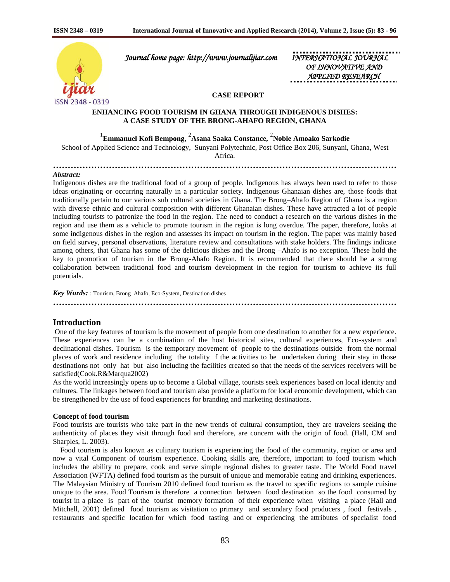

 *Journal home page: http://www.journalijiar.com INTERNATIONAL JOURNAL* 

*<i>OF INNOVATIVE APPLIED RESEARCH* 

## **CASE REPORT**

## **ENHANCING FOOD TOURISM IN GHANA THROUGH INDIGENOUS DISHES: A CASE STUDY OF THE BRONG-AHAFO REGION, GHANA**

1 **Emmanuel Kofi Bempong**, 2 **Asana Saaka Constance,** <sup>2</sup> **Noble Amoako Sarkodie**

School of Applied Science and Technology, Sunyani Polytechnic, Post Office Box 206, Sunyani, Ghana, West

Africa.

**………………………………………………………………………………………………………**

#### *Abstract:*

Indigenous dishes are the traditional food of a group of people. Indigenous has always been used to refer to those ideas originating or occurring naturally in a particular society. Indigenous Ghanaian dishes are, those foods that traditionally pertain to our various sub cultural societies in Ghana. The Brong–Ahafo Region of Ghana is a region with diverse ethnic and cultural composition with different Ghanaian dishes. These have attracted a lot of people including tourists to patronize the food in the region. The need to conduct a research on the various dishes in the region and use them as a vehicle to promote tourism in the region is long overdue. The paper, therefore, looks at some indigenous dishes in the region and assesses its impact on tourism in the region. The paper was mainly based on field survey, personal observations, literature review and consultations with stake holders. The findings indicate among others, that Ghana has some of the delicious dishes and the Brong –Ahafo is no exception. These hold the key to promotion of tourism in the Brong-Ahafo Region. It is recommended that there should be a strong collaboration between traditional food and tourism development in the region for tourism to achieve its full potentials.

*Key Words:* : Tourism, Brong–Ahafo, Eco-System, Destination dishes

**………………………………………………………………………………………………………**

## **Introduction**

One of the key features of tourism is the movement of people from one destination to another for a new experience. These experiences can be a combination of the host historical sites, cultural experiences, Eco-system and declinational dishes. Tourism is the temporary movement of people to the destinations outside from the normal places of work and residence including the totality f the activities to be undertaken during their stay in those destinations not only hat but also including the facilities created so that the needs of the services receivers will be satisfied(Cook.R&Marqua2002)

As the world increasingly opens up to become a Global village, tourists seek experiences based on local identity and cultures. The linkages between food and tourism also provide a platform for local economic development, which can be strengthened by the use of food experiences for branding and marketing destinations.

#### **Concept of food tourism**

Food tourists are tourists who take part in the new trends of cultural consumption, they are travelers seeking the authenticity of places they visit through food and therefore, are concern with the origin of food. (Hall, CM and Sharples, L. 2003).

 Food tourism is also known as culinary tourism is experiencing the food of the community, region or area and now a vital Component of tourism experience. Cooking skills are, therefore, important to food tourism which includes the ability to prepare, cook and serve simple regional dishes to greater taste. The World Food travel Association (WFTA) defined food tourism as the pursuit of unique and memorable eating and drinking experiences. The Malaysian Ministry of Tourism 2010 defined food tourism as the travel to specific regions to sample cuisine unique to the area. Food Tourism is therefore a connection between food destination so the food consumed by tourist in a place is part of the tourist memory formation of their experience when visiting a place (Hall and Mitchell, 2001) defined food tourism as visitation to primary and secondary food producers , food festivals , restaurants and specific location for which food tasting and or experiencing the attributes of specialist food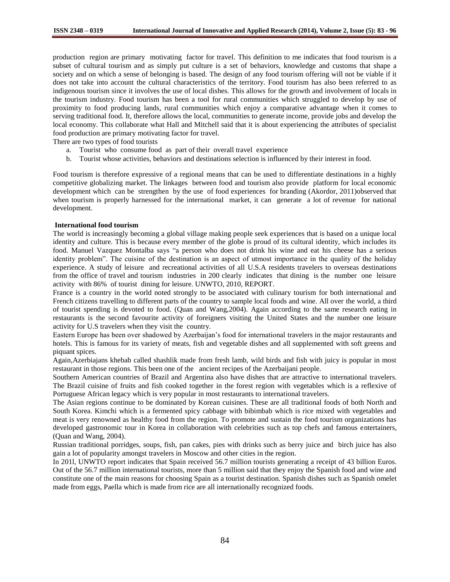production region are primary motivating factor for travel. This definition to me indicates that food tourism is a subset of cultural tourism and as simply put culture is a set of behaviors, knowledge and customs that shape a society and on which a sense of belonging is based. The design of any food tourism offering will not be viable if it does not take into account the cultural characteristics of the territory. Food tourism has also been referred to as indigenous tourism since it involves the use of local dishes. This allows for the growth and involvement of locals in the tourism industry. Food tourism has been a tool for rural communities which struggled to develop by use of proximity to food producing lands, rural communities which enjoy a comparative advantage when it comes to serving traditional food. It, therefore allows the local, communities to generate income, provide jobs and develop the local economy. This collaborate what Hall and Mitchell said that it is about experiencing the attributes of specialist food production are primary motivating factor for travel.

There are two types of food tourists

- a. Tourist who consume food as part of their overall travel experience
- b. Tourist whose activities, behaviors and destinations selection is influenced by their interest in food.

Food tourism is therefore expressive of a regional means that can be used to differentiate destinations in a highly competitive globalizing market. The linkages between food and tourism also provide platform for local economic development which can be strengthen by the use of food experiences for branding (Akordor, 2011)observed that when tourism is properly harnessed for the international market, it can generate a lot of revenue for national development.

#### **International food tourism**

The world is increasingly becoming a global village making people seek experiences that is based on a unique local identity and culture. This is because every member of the globe is proud of its cultural identity, which includes its food. Manuel Vazquez Montalba says "a person who does not drink his wine and eat his cheese has a serious identity problem". The cuisine of the destination is an aspect of utmost importance in the quality of the holiday experience. A study of leisure and recreational activities of all U.S.A residents travelers to overseas destinations from the office of travel and tourism industries in 200 clearly indicates that dining is the number one leisure activity with 86% of tourist dining for leisure. UNWTO, 2010, REPORT.

France is a country in the world noted strongly to be associated with culinary tourism for both international and French citizens travelling to different parts of the country to sample local foods and wine. All over the world, a third of tourist spending is devoted to food. (Quan and Wang,2004). Again according to the same research eating in restaurants is the second favourite activity of foreigners visiting the United States and the number one leisure activity for U.S travelers when they visit the country.

Eastern Europe has been over shadowed by Azerbaijan"s food for international travelers in the major restaurants and hotels. This is famous for its variety of meats, fish and vegetable dishes and all supplemented with soft greens and piquant spices.

Again,Azerbiajans khebab called shashlik made from fresh lamb, wild birds and fish with juicy is popular in most restaurant in those regions. This been one of the ancient recipes of the Azerbaijani people.

Southern American countries of Brazil and Argentina also have dishes that are attractive to international travelers. The Brazil cuisine of fruits and fish cooked together in the forest region with vegetables which is a reflexive of Portuguese African legacy which is very popular in most restaurants to international travelers.

The Asian regions continue to be dominated by Korean cuisines. These are all traditional foods of both North and South Korea. Kimchi which is a fermented spicy cabbage with bibimbab which is rice mixed with vegetables and meat is very renowned as healthy food from the region. To promote and sustain the food tourism organizations has developed gastronomic tour in Korea in collaboration with celebrities such as top chefs and famous entertainers, (Quan and Wang, 2004).

Russian traditional porridges, soups, fish, pan cakes, pies with drinks such as berry juice and birch juice has also gain a lot of popularity amongst travelers in Moscow and other cities in the region.

In 201l, UNWTO report indicates that Spain received 56.7 million tourists generating a receipt of 43 billion Euros. Out of the 56.7 million international tourists, more than 5 million said that they enjoy the Spanish food and wine and constitute one of the main reasons for choosing Spain as a tourist destination. Spanish dishes such as Spanish omelet made from eggs, Paella which is made from rice are all internationally recognized foods.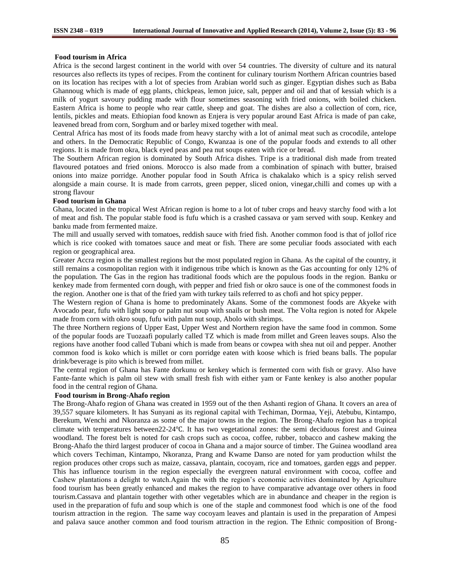## **Food tourism in Africa**

Africa is the second largest continent in the world with over 54 countries. The diversity of culture and its natural resources also reflects its types of recipes. From the continent for culinary tourism Northern African countries based on its location has recipes with a lot of species from Arabian world such as ginger. Egyptian dishes such as Baba Ghannoug which is made of egg plants, chickpeas, lemon juice, salt, pepper and oil and that of kessiah which is a milk of yogurt savoury pudding made with flour sometimes seasoning with fried onions, with boiled chicken. Eastern Africa is home to people who rear cattle, sheep and goat. The dishes are also a collection of corn, rice, lentils, pickles and meats. Ethiopian food known as Enjera is very popular around East Africa is made of pan cake, leavened bread from corn, Sorghum and or barley mixed together with meal.

Central Africa has most of its foods made from heavy starchy with a lot of animal meat such as crocodile, antelope and others. In the Democratic Republic of Congo, Kwanzaa is one of the popular foods and extends to all other regions. It is made from okra, black eyed peas and pea nut soups eaten with rice or bread.

The Southern African region is dominated by South Africa dishes. Tripe is a traditional dish made from treated flavoured potatoes and fried onions. Morocco is also made from a combination of spinach with butter, braised onions into maize porridge. Another popular food in South Africa is chakalako which is a spicy relish served alongside a main course. It is made from carrots, green pepper, sliced onion, vinegar,chilli and comes up with a strong flavour

#### **Food tourism in Ghana**

Ghana, located in the tropical West African region is home to a lot of tuber crops and heavy starchy food with a lot of meat and fish. The popular stable food is fufu which is a crashed cassava or yam served with soup. Kenkey and banku made from fermented maize.

The mill and usually served with tomatoes, reddish sauce with fried fish. Another common food is that of jollof rice which is rice cooked with tomatoes sauce and meat or fish. There are some peculiar foods associated with each region or geographical area.

Greater Accra region is the smallest regions but the most populated region in Ghana. As the capital of the country, it still remains a cosmopolitan region with it indigenous tribe which is known as the Gas accounting for only 12% of the population. The Gas in the region has traditional foods which are the populous foods in the region. Banku or kenkey made from fermented corn dough, with pepper and fried fish or okro sauce is one of the commonest foods in the region. Another one is that of the fried yam with turkey tails referred to as chofi and hot spicy pepper.

The Western region of Ghana is home to predominately Akans. Some of the commonest foods are Akyeke with Avocado pear, fufu with light soup or palm nut soup with snails or bush meat. The Volta region is noted for Akpele made from corn with okro soup, fufu with palm nut soup, Abolo with shrimps.

The three Northern regions of Upper East, Upper West and Northern region have the same food in common. Some of the popular foods are Tuozaafi popularly called TZ which is made from millet and Green leaves soups. Also the regions have another food called Tubani which is made from beans or cowpea with shea nut oil and pepper. Another common food is koko which is millet or corn porridge eaten with koose which is fried beans balls. The popular drink/beverage is pito which is brewed from millet.

The central region of Ghana has Fante dorkunu or kenkey which is fermented corn with fish or gravy. Also have Fante-fante which is palm oil stew with small fresh fish with either yam or Fante kenkey is also another popular food in the central region of Ghana.

## **Food tourism in Brong-Ahafo region**

The Brong-Ahafo region of Ghana was created in 1959 out of the then Ashanti region of Ghana. It covers an area of 39,557 square kilometers. It has Sunyani as its regional capital with Techiman, Dormaa, Yeji, Atebubu, Kintampo, Berekum, Wenchi and Nkoranza as some of the major towns in the region. The Brong-Ahafo region has a tropical climate with temperatures between22-24℃. It has two vegetational zones: the semi deciduous forest and Guinea woodland. The forest belt is noted for cash crops such as cocoa, coffee, rubber, tobacco and cashew making the Brong-Ahafo the third largest producer of cocoa in Ghana and a major source of timber. The Guinea woodland area which covers Techiman, Kintampo, Nkoranza, Prang and Kwame Danso are noted for yam production whilst the region produces other crops such as maize, cassava, plantain, cocoyam, rice and tomatoes, garden eggs and pepper. This has influence tourism in the region especially the evergreen natural environment with cocoa, coffee and Cashew plantations a delight to watch.Again the with the region"s economic activities dominated by Agriculture food tourism has been greatly enhanced and makes the region to have comparative advantage over others in food tourism.Cassava and plantain together with other vegetables which are in abundance and cheaper in the region is used in the preparation of fufu and soup which is one of the staple and commonest food which is one of the food tourism attraction in the region. The same way cocoyam leaves and plantain is used in the preparation of Ampesi and palava sauce another common and food tourism attraction in the region. The Ethnic composition of Brong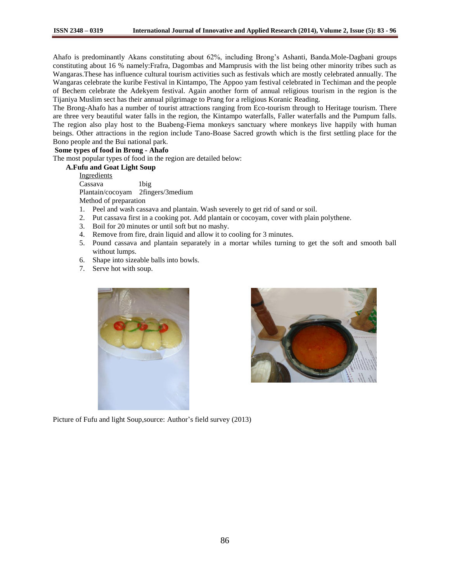Ahafo is predominantly Akans constituting about 62%, including Brong"s Ashanti, Banda.Mole-Dagbani groups constituting about 16 % namely:Frafra, Dagombas and Mamprusis with the list being other minority tribes such as Wangaras.These has influence cultural tourism activities such as festivals which are mostly celebrated annually. The Wangaras celebrate the kuribe Festival in Kintampo, The Appoo yam festival celebrated in Techiman and the people of Bechem celebrate the Adekyem festival. Again another form of annual religious tourism in the region is the Tijaniya Muslim sect has their annual pilgrimage to Prang for a religious Koranic Reading.

The Brong-Ahafo has a number of tourist attractions ranging from Eco-tourism through to Heritage tourism. There are three very beautiful water falls in the region, the Kintampo waterfalls, Faller waterfalls and the Pumpum falls. The region also play host to the Buabeng-Fiema monkeys sanctuary where monkeys live happily with human beings. Other attractions in the region include Tano-Boase Sacred growth which is the first settling place for the Bono people and the Bui national park.

# **Some types of food in Brong - Ahafo**

The most popular types of food in the region are detailed below:

 **A.Fufu and Goat Light Soup** Ingredients Cassava 1big Plantain/cocoyam 2fingers/3medium Method of preparation

- 1. Peel and wash cassava and plantain. Wash severely to get rid of sand or soil.
- 2. Put cassava first in a cooking pot. Add plantain or cocoyam, cover with plain polythene.
- 3. Boil for 20 minutes or until soft but no mashy.
- 4. Remove from fire, drain liquid and allow it to cooling for 3 minutes.
- 5. Pound cassava and plantain separately in a mortar whiles turning to get the soft and smooth ball without lumps.
- 6. Shape into sizeable balls into bowls.
- 7. Serve hot with soup.





Picture of Fufu and light Soup, source: Author's field survey (2013)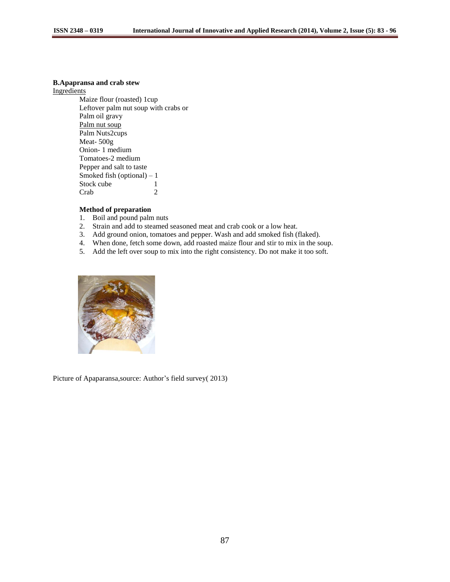### **B.Apapransa and crab stew**

#### **Ingredients**

Maize flour (roasted) 1cup Leftover palm nut soup with crabs or Palm oil gravy Palm nut soup Palm Nuts2cups Meat- 500g Onion- 1 medium Tomatoes-2 medium Pepper and salt to taste Smoked fish (optional) – 1 Stock cube 1 Crab 2

## **Method of preparation**

- 1. Boil and pound palm nuts
- 2. Strain and add to steamed seasoned meat and crab cook or a low heat.
- 3. Add ground onion, tomatoes and pepper. Wash and add smoked fish (flaked).
- 4. When done, fetch some down, add roasted maize flour and stir to mix in the soup.
- 5. Add the left over soup to mix into the right consistency. Do not make it too soft.



Picture of Apaparansa, source: Author's field survey( 2013)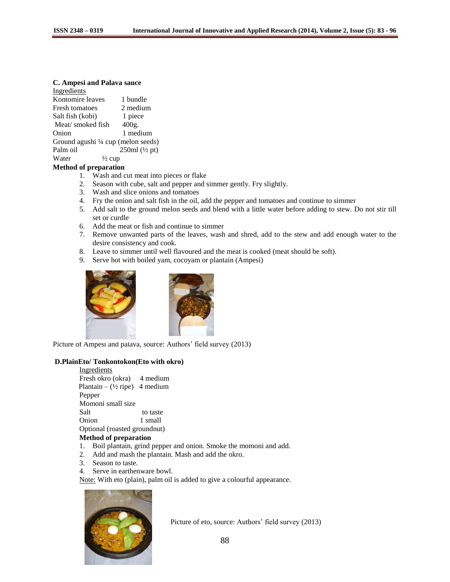## **C. Ampesi and Palava sauce**

| Ingredients                         |                            |
|-------------------------------------|----------------------------|
| Kontomire leaves                    | 1 bundle                   |
| <b>Fresh tomatoes</b>               | 2 medium                   |
| Salt fish (kobi)                    | 1 piece                    |
| Meat/smoked fish                    | 400g.                      |
| Onion                               | 1 medium                   |
| Ground agushi 1/4 cup (melon seeds) |                            |
| Palm oil                            | $250ml$ $(\frac{1}{2} pt)$ |
| Water                               | $\frac{1}{2}$ cup          |

## **Method of preparation**

- 1. Wash and cut meat into pieces or flake
- 2. Season with cube, salt and pepper and simmer gently. Fry slightly.
- 3. Wash and slice onions and tomatoes
- 4. Fry the onion and salt fish in the oil, add the pepper and tomatoes and continue to simmer
- 5. Add salt to the ground melon seeds and blend with a little water before adding to stew. Do not stir till set or curdle
- 6. Add the meat or fish and continue to simmer
- 7. Remove unwanted parts of the leaves, wash and shred, add to the stew and add enough water to the desire consistency and cook.
- 8. Leave to simmer until well flavoured and the meat is cooked (meat should be soft).
- 9. Serve hot with boiled yam, cocoyam or plantain (Ampesi)



Picture of Ampesi and palava, source: Authors' field survey (2013)

# **D.PlainEto/ Tonkontokon(Eto with okro)**

Ingredients Fresh okro (okra) 4 medium Plantain –  $(\frac{1}{2})$  ripe) 4 medium Pepper Momoni small size Salt to taste Onion 1 small Optional (roasted groundnut)

## **Method of preparation**

- 1. Boil plantain, grind pepper and onion. Smoke the momoni and add.
- 2. Add and mash the plantain. Mash and add the okro.
- 3. Season to taste.
- 4. Serve in earthenware bowl.

Note: With eto (plain), palm oil is added to give a colourful appearance.



Picture of eto, source: Authors' field survey (2013)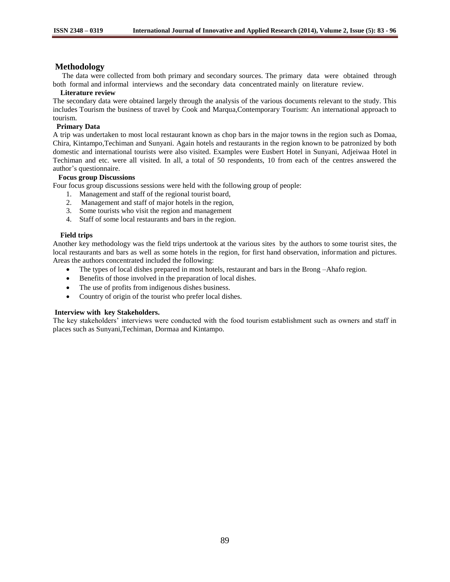## **Methodology**

 The data were collected from both primary and secondary sources. The primary data were obtained through both formal and informal interviews and the secondary data concentrated mainly on literature review.

#### **Literature review**

The secondary data were obtained largely through the analysis of the various documents relevant to the study. This includes Tourism the business of travel by Cook and Marqua,Contemporary Tourism: An international approach to tourism.

#### **Primary Data**

A trip was undertaken to most local restaurant known as chop bars in the major towns in the region such as Domaa, Chira, Kintampo,Techiman and Sunyani. Again hotels and restaurants in the region known to be patronized by both domestic and international tourists were also visited. Examples were Eusbert Hotel in Sunyani, Adjeiwaa Hotel in Techiman and etc. were all visited. In all, a total of 50 respondents, 10 from each of the centres answered the author"s questionnaire.

## **Focus group Discussions**

Four focus group discussions sessions were held with the following group of people:

- 1. Management and staff of the regional tourist board,
- 2. Management and staff of major hotels in the region,
- 3. Some tourists who visit the region and management
- 4. Staff of some local restaurants and bars in the region.

#### **Field trips**

Another key methodology was the field trips undertook at the various sites by the authors to some tourist sites, the local restaurants and bars as well as some hotels in the region, for first hand observation, information and pictures. Areas the authors concentrated included the following:

- The types of local dishes prepared in most hotels, restaurant and bars in the Brong –Ahafo region.
- Benefits of those involved in the preparation of local dishes.
- The use of profits from indigenous dishes business.
- Country of origin of the tourist who prefer local dishes.

#### **Interview with key Stakeholders.**

The key stakeholders" interviews were conducted with the food tourism establishment such as owners and staff in places such as Sunyani,Techiman, Dormaa and Kintampo.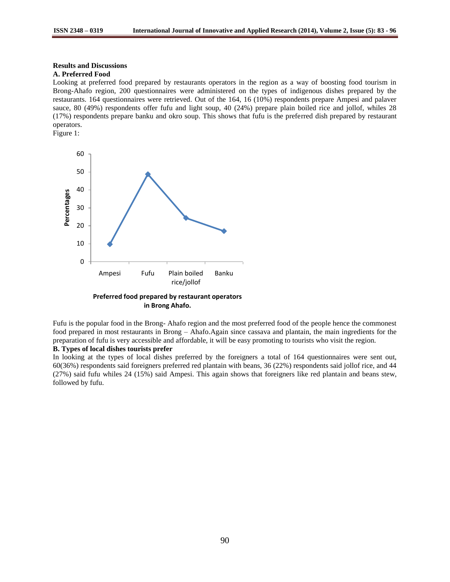# **Results and Discussions**

## **A. Preferred Food**

Looking at preferred food prepared by restaurants operators in the region as a way of boosting food tourism in Brong-Ahafo region, 200 questionnaires were administered on the types of indigenous dishes prepared by the restaurants. 164 questionnaires were retrieved. Out of the 164, 16 (10%) respondents prepare Ampesi and palaver sauce, 80 (49%) respondents offer fufu and light soup, 40 (24%) prepare plain boiled rice and jollof, whiles 28 (17%) respondents prepare banku and okro soup. This shows that fufu is the preferred dish prepared by restaurant operators.

Figure 1:



Fufu is the popular food in the Brong- Ahafo region and the most preferred food of the people hence the commonest food prepared in most restaurants in Brong – Ahafo.Again since cassava and plantain, the main ingredients for the preparation of fufu is very accessible and affordable, it will be easy promoting to tourists who visit the region.

## **B. Types of local dishes tourists prefer**

In looking at the types of local dishes preferred by the foreigners a total of 164 questionnaires were sent out, 60(36%) respondents said foreigners preferred red plantain with beans, 36 (22%) respondents said jollof rice, and 44 (27%) said fufu whiles 24 (15%) said Ampesi. This again shows that foreigners like red plantain and beans stew, followed by fufu.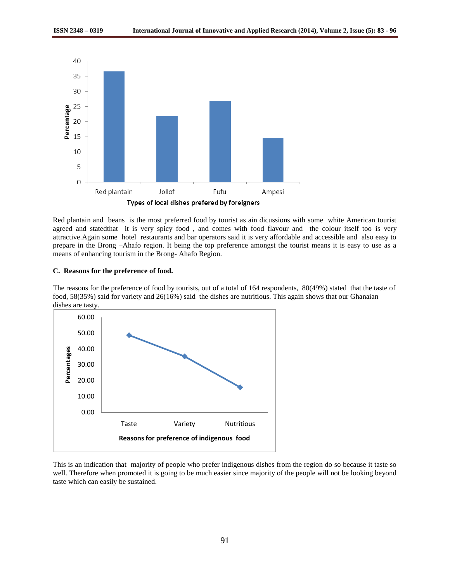

Red plantain and beans is the most preferred food by tourist as ain dicussions with some white American tourist agreed and statedthat it is very spicy food , and comes with food flavour and the colour itself too is very attractive.Again some hotel restaurants and bar operators said it is very affordable and accessible and also easy to prepare in the Brong –Ahafo region. It being the top preference amongst the tourist means it is easy to use as a means of enhancing tourism in the Brong- Ahafo Region.

#### **C. Reasons for the preference of food.**

The reasons for the preference of food by tourists, out of a total of 164 respondents, 80(49%) stated that the taste of food, 58(35%) said for variety and 26(16%) said the dishes are nutritious. This again shows that our Ghanaian dishes are tasty.



This is an indication that majority of people who prefer indigenous dishes from the region do so because it taste so well. Therefore when promoted it is going to be much easier since majority of the people will not be looking beyond taste which can easily be sustained.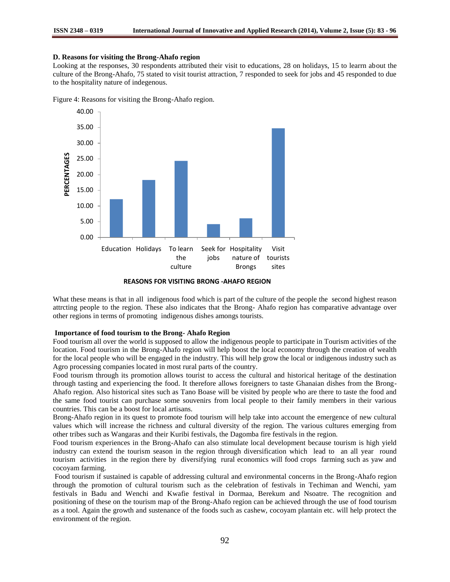#### **D. Reasons for visiting the Brong-Ahafo region**

Looking at the responses, 30 respondents attributed their visit to educations, 28 on holidays, 15 to learrn about the culture of the Brong-Ahafo, 75 stated to visit tourist attraction, 7 responded to seek for jobs and 45 responded to due to the hospitality nature of indegenous.





**REASONS FOR VISITING BRONG -AHAFO REGION**

What these means is that in all indigenous food which is part of the culture of the people the second highest reason attrcting people to the region. These also indicates that the Brong- Ahafo region has comparative advantage over other regions in terms of promoting indigenous dishes amongs tourists.

#### **Importance of food tourism to the Brong- Ahafo Region**

Food tourism all over the world is supposed to allow the indigenous people to participate in Tourism activities of the location. Food tourism in the Brong-Ahafo region will help boost the local economy through the creation of wealth for the local people who will be engaged in the industry. This will help grow the local or indigenous industry such as Agro processing companies located in most rural parts of the country.

Food tourism through its promotion allows tourist to access the cultural and historical heritage of the destination through tasting and experiencing the food. It therefore allows foreigners to taste Ghanaian dishes from the Brong-Ahafo region. Also historical sites such as Tano Boase will be visited by people who are there to taste the food and the same food tourist can purchase some souvenirs from local people to their family members in their various countries. This can be a boost for local artisans.

Brong-Ahafo region in its quest to promote food tourism will help take into account the emergence of new cultural values which will increase the richness and cultural diversity of the region. The various cultures emerging from other tribes such as Wangaras and their Kuribi festivals, the Dagomba fire festivals in the region.

Food tourism experiences in the Brong-Ahafo can also stimulate local development because tourism is high yield industry can extend the tourism season in the region through diversification which lead to an all year round tourism activities in the region there by diversifying rural economics will food crops farming such as yaw and cocoyam farming.

Food tourism if sustained is capable of addressing cultural and environmental concerns in the Brong-Ahafo region through the promotion of cultural tourism such as the celebration of festivals in Techiman and Wenchi, yam festivals in Badu and Wenchi and Kwafie festival in Dormaa, Berekum and Nsoatre. The recognition and positioning of these on the tourism map of the Brong-Ahafo region can be achieved through the use of food tourism as a tool. Again the growth and sustenance of the foods such as cashew, cocoyam plantain etc. will help protect the environment of the region.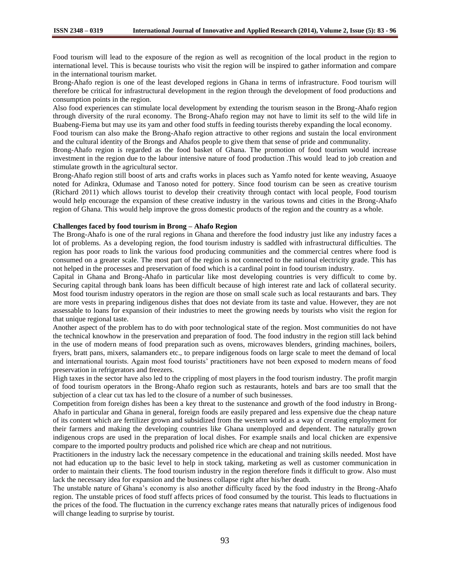Food tourism will lead to the exposure of the region as well as recognition of the local product in the region to international level. This is because tourists who visit the region will be inspired to gather information and compare in the international tourism market.

Brong-Ahafo region is one of the least developed regions in Ghana in terms of infrastructure. Food tourism will therefore be critical for infrastructural development in the region through the development of food productions and consumption points in the region.

Also food experiences can stimulate local development by extending the tourism season in the Brong-Ahafo region through diversity of the rural economy. The Brong-Ahafo region may not have to limit its self to the wild life in Buabeng-Fiema but may use its yam and other food stuffs in feeding tourists thereby expanding the local economy.

Food tourism can also make the Brong-Ahafo region attractive to other regions and sustain the local environment and the cultural identity of the Brongs and Ahafos people to give them that sense of pride and communality.

Brong-Ahafo region is regarded as the food basket of Ghana. The promotion of food tourism would increase investment in the region due to the labour intensive nature of food production .This would lead to job creation and stimulate growth in the agricultural sector.

Brong-Ahafo region still boost of arts and crafts works in places such as Yamfo noted for kente weaving, Asuaoye noted for Adinkra, Odumase and Tanoso noted for pottery. Since food tourism can be seen as creative tourism (Richard 2011) which allows tourist to develop their creativity through contact with local people, Food tourism would help encourage the expansion of these creative industry in the various towns and cities in the Brong-Ahafo region of Ghana. This would help improve the gross domestic products of the region and the country as a whole.

## **Challenges faced by food tourism in Brong – Ahafo Region**

The Brong-Ahafo is one of the rural regions in Ghana and therefore the food industry just like any industry faces a lot of problems. As a developing region, the food tourism industry is saddled with infrastructural difficulties. The region has poor roads to link the various food producing communities and the commercial centres where food is consumed on a greater scale. The most part of the region is not connected to the national electricity grade. This has not helped in the processes and preservation of food which is a cardinal point in food tourism industry.

Capital in Ghana and Brong-Ahafo in particular like most developing countries is very difficult to come by. Securing capital through bank loans has been difficult because of high interest rate and lack of collateral security. Most food tourism industry operators in the region are those on small scale such as local restaurants and bars. They are more vests in preparing indigenous dishes that does not deviate from its taste and value. However, they are not assessable to loans for expansion of their industries to meet the growing needs by tourists who visit the region for that unique regional taste.

Another aspect of the problem has to do with poor technological state of the region. Most communities do not have the technical knowhow in the preservation and preparation of food. The food industry in the region still lack behind in the use of modern means of food preparation such as ovens, microwaves blenders, grinding machines, boilers, fryers, bratt pans, mixers, salamanders etc., to prepare indigenous foods on large scale to meet the demand of local and international tourists. Again most food tourists" practitioners have not been exposed to modern means of food preservation in refrigerators and freezers.

High taxes in the sector have also led to the crippling of most players in the food tourism industry. The profit margin of food tourism operators in the Brong-Ahafo region such as restaurants, hotels and bars are too small that the subjection of a clear cut tax has led to the closure of a number of such businesses.

Competition from foreign dishes has been a key threat to the sustenance and growth of the food industry in Brong-Ahafo in particular and Ghana in general, foreign foods are easily prepared and less expensive due the cheap nature of its content which are fertilizer grown and subsidized from the western world as a way of creating employment for their farmers and making the developing countries like Ghana unemployed and dependent. The naturally grown indigenous crops are used in the preparation of local dishes. For example snails and local chicken are expensive compare to the imported poultry products and polished rice which are cheap and not nutritious.

Practitioners in the industry lack the necessary competence in the educational and training skills needed. Most have not had education up to the basic level to help in stock taking, marketing as well as customer communication in order to maintain their clients. The food tourism industry in the region therefore finds it difficult to grow. Also must lack the necessary idea for expansion and the business collapse right after his/her death.

The unstable nature of Ghana"s economy is also another difficulty faced by the food industry in the Brong-Ahafo region. The unstable prices of food stuff affects prices of food consumed by the tourist. This leads to fluctuations in the prices of the food. The fluctuation in the currency exchange rates means that naturally prices of indigenous food will change leading to surprise by tourist.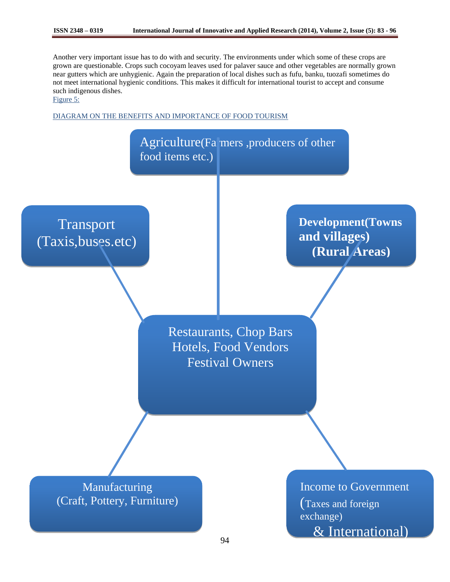Another very important issue has to do with and security. The environments under which some of these crops are grown are questionable. Crops such cocoyam leaves used for palaver sauce and other vegetables are normally grown near gutters which are unhygienic. Again the preparation of local dishes such as fufu, banku, tuozafi sometimes do not meet international hygienic conditions. This makes it difficult for international tourist to accept and consume such indigenous dishes.

Figure 5:

## DIAGRAM ON THE BENEFITS AND IMPORTANCE OF FOOD TOURISM

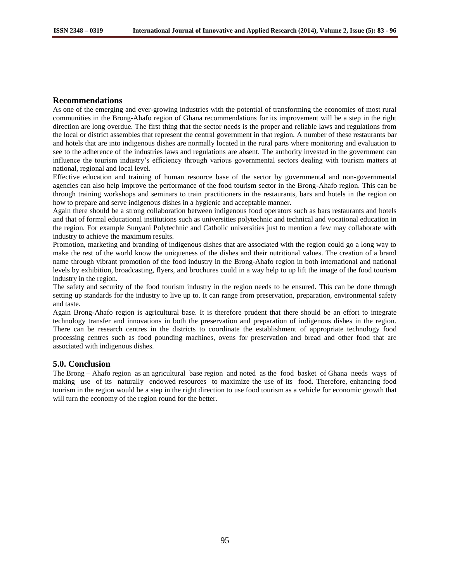# **Recommendations**

As one of the emerging and ever-growing industries with the potential of transforming the economies of most rural communities in the Brong-Ahafo region of Ghana recommendations for its improvement will be a step in the right direction are long overdue. The first thing that the sector needs is the proper and reliable laws and regulations from the local or district assembles that represent the central government in that region. A number of these restaurants bar and hotels that are into indigenous dishes are normally located in the rural parts where monitoring and evaluation to see to the adherence of the industries laws and regulations are absent. The authority invested in the government can influence the tourism industry"s efficiency through various governmental sectors dealing with tourism matters at national, regional and local level.

Effective education and training of human resource base of the sector by governmental and non-governmental agencies can also help improve the performance of the food tourism sector in the Brong-Ahafo region. This can be through training workshops and seminars to train practitioners in the restaurants, bars and hotels in the region on how to prepare and serve indigenous dishes in a hygienic and acceptable manner.

Again there should be a strong collaboration between indigenous food operators such as bars restaurants and hotels and that of formal educational institutions such as universities polytechnic and technical and vocational education in the region. For example Sunyani Polytechnic and Catholic universities just to mention a few may collaborate with industry to achieve the maximum results.

Promotion, marketing and branding of indigenous dishes that are associated with the region could go a long way to make the rest of the world know the uniqueness of the dishes and their nutritional values. The creation of a brand name through vibrant promotion of the food industry in the Brong-Ahafo region in both international and national levels by exhibition, broadcasting, flyers, and brochures could in a way help to up lift the image of the food tourism industry in the region.

The safety and security of the food tourism industry in the region needs to be ensured. This can be done through setting up standards for the industry to live up to. It can range from preservation, preparation, environmental safety and taste.

Again Brong-Ahafo region is agricultural base. It is therefore prudent that there should be an effort to integrate technology transfer and innovations in both the preservation and preparation of indigenous dishes in the region. There can be research centres in the districts to coordinate the establishment of appropriate technology food processing centres such as food pounding machines, ovens for preservation and bread and other food that are associated with indigenous dishes.

# **5.0. Conclusion**

The Brong – Ahafo region as an agricultural base region and noted as the food basket of Ghana needs ways of making use of its naturally endowed resources to maximize the use of its food. Therefore, enhancing food tourism in the region would be a step in the right direction to use food tourism as a vehicle for economic growth that will turn the economy of the region round for the better.